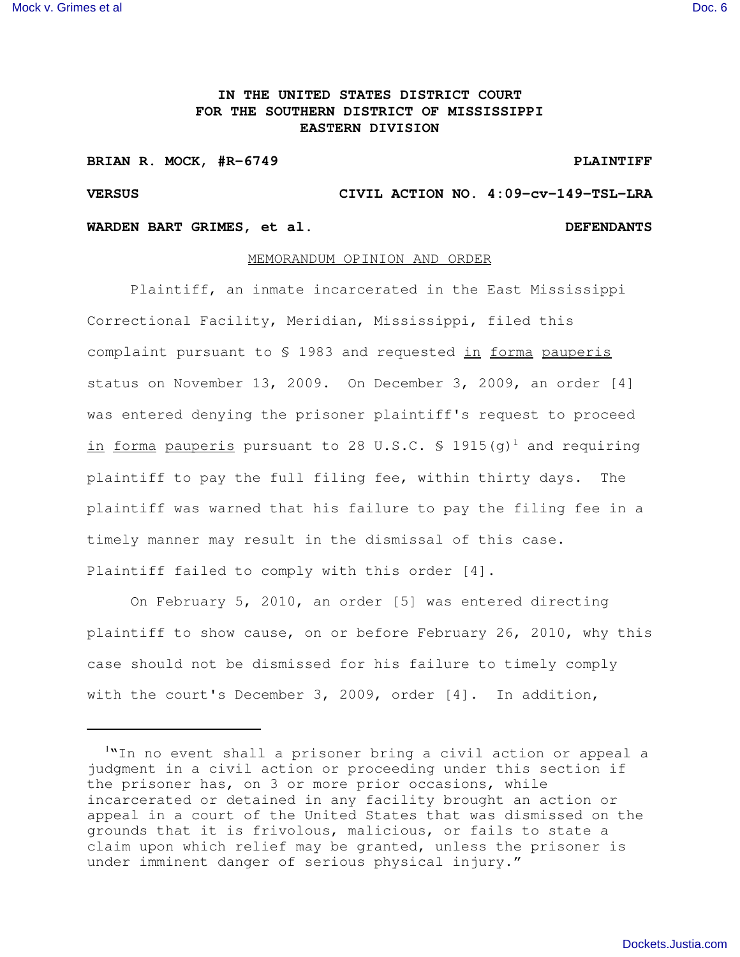## **IN THE UNITED STATES DISTRICT COURT FOR THE SOUTHERN DISTRICT OF MISSISSIPPI EASTERN DIVISION**

### **BRIAN R. MOCK, #R-6749 PLAINTIFF**

# **VERSUS CIVIL ACTION NO. 4:09-cv-149-TSL-LRA**

## **WARDEN BART GRIMES, et al. DEFENDANTS**

### MEMORANDUM OPINION AND ORDER

Plaintiff, an inmate incarcerated in the East Mississippi Correctional Facility, Meridian, Mississippi, filed this complaint pursuant to \$ 1983 and requested in forma pauperis status on November 13, 2009. On December 3, 2009, an order [4] was entered denying the prisoner plaintiff's request to proceed in forma pauperis pursuant to 28 U.S.C. § 1915(g) <sup>1</sup> and requiring plaintiff to pay the full filing fee, within thirty days. The plaintiff was warned that his failure to pay the filing fee in a timely manner may result in the dismissal of this case. Plaintiff failed to comply with this order [4].

On February 5, 2010, an order [5] was entered directing plaintiff to show cause, on or before February 26, 2010, why this case should not be dismissed for his failure to timely comply with the court's December 3, 2009, order [4]. In addition,

<sup>1</sup>"In no event shall a prisoner bring a civil action or appeal a judgment in a civil action or proceeding under this section if the prisoner has, on 3 or more prior occasions, while incarcerated or detained in any facility brought an action or appeal in a court of the United States that was dismissed on the grounds that it is frivolous, malicious, or fails to state a claim upon which relief may be granted, unless the prisoner is under imminent danger of serious physical injury."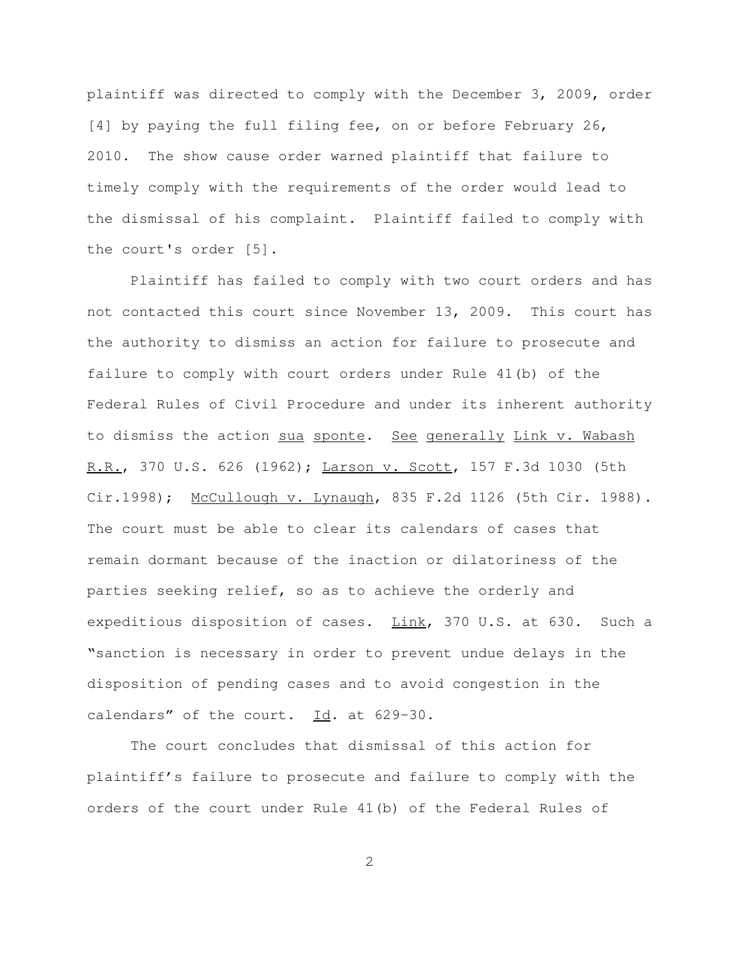plaintiff was directed to comply with the December 3, 2009, order [4] by paying the full filing fee, on or before February 26, 2010. The show cause order warned plaintiff that failure to timely comply with the requirements of the order would lead to the dismissal of his complaint. Plaintiff failed to comply with the court's order [5].

Plaintiff has failed to comply with two court orders and has not contacted this court since November 13, 2009. This court has the authority to dismiss an action for failure to prosecute and failure to comply with court orders under Rule 41(b) of the Federal Rules of Civil Procedure and under its inherent authority to dismiss the action sua sponte. See generally Link v. Wabash R.R., 370 U.S. 626 (1962); Larson v. Scott, 157 F.3d 1030 (5th Cir.1998); McCullough v. Lynaugh, 835 F.2d 1126 (5th Cir. 1988). The court must be able to clear its calendars of cases that remain dormant because of the inaction or dilatoriness of the parties seeking relief, so as to achieve the orderly and expeditious disposition of cases. Link, 370 U.S. at 630. Such a "sanction is necessary in order to prevent undue delays in the disposition of pending cases and to avoid congestion in the calendars" of the court. Id. at 629-30.

The court concludes that dismissal of this action for plaintiff's failure to prosecute and failure to comply with the orders of the court under Rule 41(b) of the Federal Rules of

2